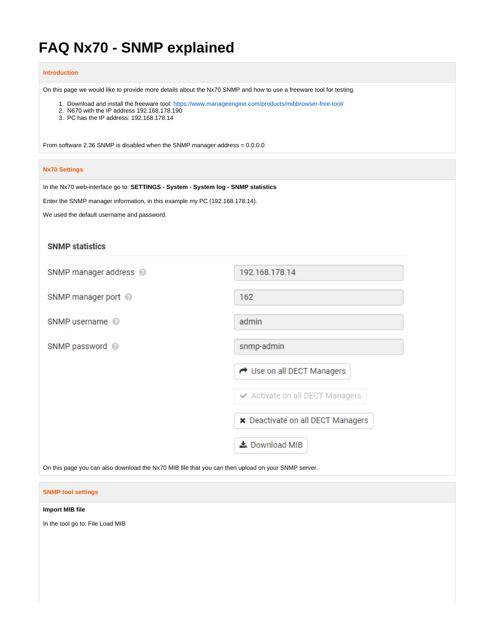# **FAQ Nx70 - SNMP explained**

#### **Introduction**

On this page we would like to provide more details about the Nx70 SNMP and how to use a freeware tool for testing.

1. Download and install the freeware tool: <https://www.manageengine.com/products/mibbrowser-free-tool/>

- 2. N670 with the IP address 192.168.178.190
- 3. PC has the IP address: 192.168.178.14

From software 2.36 SNMP is disabled when the SNMP manager address = 0.0.0.0

#### **Nx70 Settings**

In the Nx70 web-interface go to: **SETTINGS - System - System log - SNMP statistics**

Enter the SNMP manager information, in this example my PC (192.168.178.14).

We used the default username and password.

## **SNMP statistics**

| SNMP manager address @     | 192.168.178.14                           |
|----------------------------|------------------------------------------|
| SNMP manager port @        | 162                                      |
| SNMP username <sup>@</sup> | admin                                    |
| SNMP password @            | snmp-admin                               |
|                            | ← Use on all DECT Managers               |
|                            | ← Activate on all DECT Managers          |
|                            | <b>*</b> Deactivate on all DECT Managers |
|                            | ▲ Download MIB                           |

On this page you can also download the Nx70 MIB file that you can then upload on your SNMP server.

#### **SNMP tool settings**

#### **Import MIB file**

In the tool go to: File Load MIB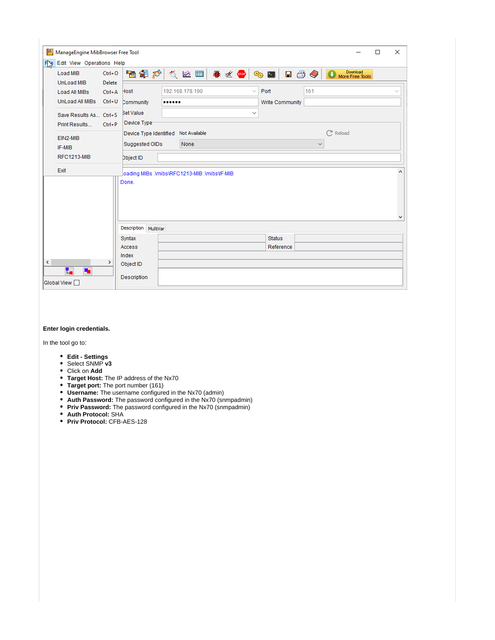| 鼎                                                                                                                                                                                                                                                                                                                                                                                                                                                                                                                                                                   |                              |                          |     |  |                            |                            |                             | $\Box$ | X |
|---------------------------------------------------------------------------------------------------------------------------------------------------------------------------------------------------------------------------------------------------------------------------------------------------------------------------------------------------------------------------------------------------------------------------------------------------------------------------------------------------------------------------------------------------------------------|------------------------------|--------------------------|-----|--|----------------------------|----------------------------|-----------------------------|--------|---|
| Load MIB                                                                                                                                                                                                                                                                                                                                                                                                                                                                                                                                                            | $Ctrl + O$                   |                          |     |  | ®∂ !                       | $\blacksquare$ 3 $\oslash$ | Download<br>More Free Tools |        |   |
| ManageEngine MibBrowser Free Tool<br>Fig Edit View Operations Help<br>高铜砂 负险国 卷丝的<br>UnLoad MIB<br>Delete<br>192.168.178.190<br>Host<br>Load All MIBs<br>$Ctrl + A$<br>UnLoad All MIBs Ctrl+U<br>Community<br><br><b>Bet Value</b><br>Save Results As Ctrl+S<br>Device Type:<br>Print Results<br>$Ctrl + P$<br>Device Type Identified Not Available<br>EIN2-MIB<br>None<br>Suggested OIDs<br>IF-MIB<br><b>RFC1213-MIB</b><br>Dbject ID<br>Exit<br>oading MIBs .\mibs\RFC1213-MIB .\mibs\IF-MIB<br>Done.<br>Description MultiVar<br>Syntax<br><b>Access</b><br>Index | $\checkmark$<br>$\checkmark$ | Port<br>Write Community  | 161 |  |                            | $\checkmark$               |                             |        |   |
|                                                                                                                                                                                                                                                                                                                                                                                                                                                                                                                                                                     |                              |                          |     |  |                            | $\checkmark$               | $\mathbb{C}^n$ Reload       |        |   |
|                                                                                                                                                                                                                                                                                                                                                                                                                                                                                                                                                                     |                              |                          |     |  |                            |                            |                             |        |   |
|                                                                                                                                                                                                                                                                                                                                                                                                                                                                                                                                                                     |                              |                          |     |  |                            |                            |                             |        | v |
|                                                                                                                                                                                                                                                                                                                                                                                                                                                                                                                                                                     |                              |                          |     |  |                            |                            |                             |        |   |
| $\leq$                                                                                                                                                                                                                                                                                                                                                                                                                                                                                                                                                              | >                            |                          |     |  | <b>Status</b><br>Reference |                            |                             |        |   |
| t,<br>۰.<br>Global View                                                                                                                                                                                                                                                                                                                                                                                                                                                                                                                                             |                              | Object ID<br>Description |     |  |                            |                            |                             |        |   |

#### **Enter login credentials.**

In the tool go to:

- **Edit Settings**
- Select SNMP **v3**
- Click on **Add**
- **Target Host:** The IP address of the Nx70
- **Target port:** The port number (161)
- **Username:** The username configured in the Nx70 (admin)
- **Auth Password:** The password configured in the Nx70 (snmpadmin)
- **Priv Password:** The password configured in the Nx70 (snmpadmin)
- **Auth Protocol:** SHA
- **Priv Protocol:** CFB-AES-128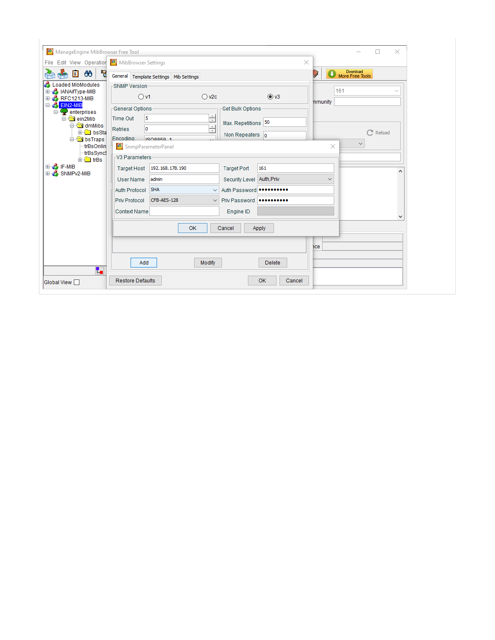| File Edit View Operation & MibBrowser Settings                    |                                                                                                                                        | ×                           |
|-------------------------------------------------------------------|----------------------------------------------------------------------------------------------------------------------------------------|-----------------------------|
| $\Box$ $\infty$<br>٦,<br>Æ.                                       | General Template Settings   Mib Settings                                                                                               | Download<br>More Free Tools |
| <b>Loaded MibModules</b>                                          | -SNMP Version-                                                                                                                         | 161                         |
| <b>B</b> IANAifType-MIB<br>$\mathbf{E}$<br><b>E-2 RFC1213-MIB</b> | $\odot$ v3<br>$\bigcirc$ v2c<br>O <sub>v1</sub>                                                                                        |                             |
| E <b>EIN2-MIB</b><br>enterprises                                  | General Options<br>Get Bulk Options                                                                                                    | mmunity                     |
| ein2Mib<br>a dmMibs                                               | $\frac{1}{x}$<br>5<br><b>Time Out</b><br>Max. Repetitions 50                                                                           |                             |
| <b>E</b> bsSta<br><b>E</b> bsTraps                                | $\sim$ 1<br>Retries<br>0<br>$\overline{\phantom{a}}$<br>Non Repeaters $\vert_0$<br>Encodina<br>1909950-1                               | Reload                      |
| trBsOnlin                                                         | SnmpParameterPanel                                                                                                                     | $\checkmark$<br>$\times$    |
| trBsSyncs<br><b>E</b> trBs                                        | -V3 Parameters                                                                                                                         |                             |
| <b>E</b> F-MIB                                                    | Target Host   192.168.178.190<br>161<br><b>Target Port</b>                                                                             |                             |
| E SNMPV2-MIB                                                      | Security Level Auth, Priv<br>admin<br>User Name                                                                                        | ۸<br>$\checkmark$           |
|                                                                   | Auth Protocol SHA<br>V Auth Password                                                                                                   |                             |
|                                                                   | CFB-AES-128<br>Priv Protocol<br>$\vee$ Priv Password $\bullet \bullet \bullet \bullet \bullet \bullet \bullet \bullet \bullet \bullet$ |                             |
|                                                                   | <b>Context Name</b><br>Engine ID                                                                                                       | v                           |
|                                                                   | <b>OK</b><br>Cancel<br>Apply                                                                                                           |                             |
|                                                                   |                                                                                                                                        | ice                         |
| t,                                                                | Modify<br>Add<br><b>Delete</b>                                                                                                         |                             |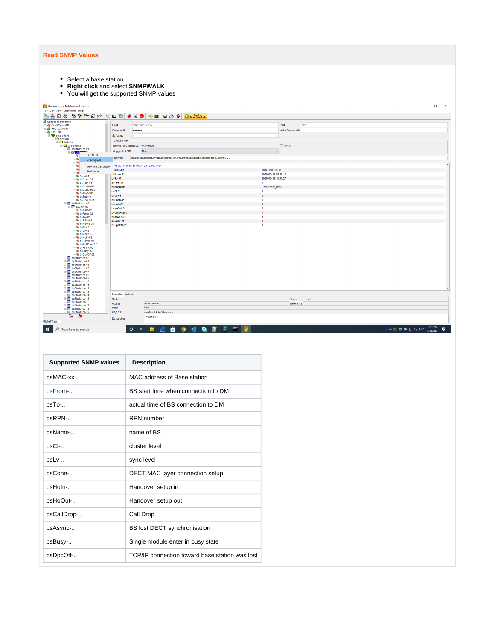# **Read SNMP Values**

- Select a base station
- **Right click** and select **SNMPWALK**
- You will get the supported SNMP values

| ManageEngine MibBrowser Free Tool                                 |                                          |                                                                                                |                     |                 | $ 0$ $\times$                            |
|-------------------------------------------------------------------|------------------------------------------|------------------------------------------------------------------------------------------------|---------------------|-----------------|------------------------------------------|
| File Edit View Operations Help                                    |                                          |                                                                                                |                     |                 |                                          |
| ਣੇ<br>$\blacksquare$ $\blacksquare$ $\blacksquare$ $\blacksquare$ |                                          | 看看有利力 《 Ma 图 》 ※ 《 ● <mark>4 9 图 日 3 》 O meetres toos</mark>                                   |                     |                 |                                          |
|                                                                   | Host                                     | 192.168.178.190                                                                                |                     | Port            | 161                                      |
|                                                                   |                                          |                                                                                                |                     |                 |                                          |
| EIN2-MIB                                                          | Community<br>                            |                                                                                                |                     | Write Community |                                          |
| enterprises                                                       | Set Value                                |                                                                                                | $\checkmark$        |                 |                                          |
| <b>E-Cal</b> ein2Mib<br><b>B</b> dmMibs                           | Device Type                              |                                                                                                |                     |                 |                                          |
| <b>B</b> bsStatistics                                             | Device Type Identified Not Available     |                                                                                                |                     | $C$ Reload      |                                          |
| <b>B</b> bsStatistics-01                                          |                                          | None                                                                                           | $\checkmark$        |                 |                                          |
| <b>E-ES</b> bsF<br><b>GETNEXT</b>                                 | Suggested OIDs                           |                                                                                                |                     |                 |                                          |
| - 7<br>$\infty$                                                   | bject ID                                 | .iso.org.dod.internet.private.enterprises.ein2Mb.dmMbs.bsStatistics.bsStatistics-01.bsEntry-01 |                     |                 |                                          |
| SNMPVNALK<br>$\mathcal{R}$                                        |                                          |                                                                                                |                     |                 |                                          |
| <b>B</b><br><b>View MIB Description</b>                           | ent GET request to 192,168,178,190 : 161 |                                                                                                |                     |                 |                                          |
| $\mathcal{R}$<br>Find Node<br>$\mathbf{w}$                        | <b>SMAC-01</b>                           |                                                                                                | 589EC60D90CA        |                 |                                          |
| % bsLv-01                                                         | usFrom-01                                |                                                                                                | 2020-02-19 08:30:15 |                 |                                          |
| <b>&amp; bsConn-01</b>                                            | $bsTo-01$                                |                                                                                                | 2020-02-19 15:10:27 |                 |                                          |
| <b>&amp; bsHoln-01</b>                                            | bsRPN-01                                 |                                                                                                | -5                  |                 |                                          |
| ** bsHoOut-01<br><b>&amp; bsCallDrop-01</b>                       | bsName-01                                |                                                                                                | Redundant_level1    |                 |                                          |
| <b>R</b> bsAsync-01                                               | <b>bsCI-01</b>                           |                                                                                                | $\mathbf{1}$        |                 |                                          |
| ** bsBusy-01                                                      | bsLv-01                                  |                                                                                                | $\overline{2}$      |                 |                                          |
| <b>Sk bsDpcOff-01</b>                                             | bsConn-01                                |                                                                                                | -5                  |                 |                                          |
| B bsStatistics-02<br><b>B-IIM</b> bsEntry-02                      | bsHoln-01                                |                                                                                                | $\Omega$            |                 |                                          |
| <sup>?</sup> bsMAC-02                                             | bsHoOut-01                               |                                                                                                | $\bullet$           |                 |                                          |
| & bsFrom-02                                                       | bsCallDrop-01                            |                                                                                                | $\sqrt{2}$          |                 |                                          |
| & bsTo-02                                                         | bsAsync-01                               |                                                                                                | $\bullet$           |                 |                                          |
| <b>&amp; bsRPN-02</b><br>& bsName-02                              | bsBusy-01                                |                                                                                                | $\sqrt{2}$          |                 |                                          |
| <b>B</b> bsCl-02                                                  | bsDpcOff-01                              |                                                                                                | $\overline{1}$      |                 |                                          |
| <b>R</b> bsLv-02                                                  |                                          |                                                                                                |                     |                 |                                          |
| & bsConn-02                                                       |                                          |                                                                                                |                     |                 |                                          |
| <b>&amp; bsHoln-02</b><br>% bsHoOut-02                            |                                          |                                                                                                |                     |                 |                                          |
| ** bsCallDrop-02                                                  |                                          |                                                                                                |                     |                 |                                          |
| <b>&amp; bsAsync-02</b>                                           |                                          |                                                                                                |                     |                 |                                          |
| <b>&amp; bsBusy-02</b>                                            |                                          |                                                                                                |                     |                 |                                          |
| ** bsDpcOff-02<br>由 bsStatistics-03                               |                                          |                                                                                                |                     |                 |                                          |
| <b>B</b> bsStatistics-04                                          |                                          |                                                                                                |                     |                 |                                          |
| <b>E</b> bsStatistics-05                                          |                                          |                                                                                                |                     |                 |                                          |
| <b>B</b> bsStatistics-06                                          |                                          |                                                                                                |                     |                 |                                          |
| <b>B-III</b> bsStatistics-07<br><b>B</b> bsStatistics-08          |                                          |                                                                                                |                     |                 |                                          |
| <b>DE bsStatistics-09</b><br><b>DE bsStatistics-10</b>            |                                          |                                                                                                |                     |                 |                                          |
|                                                                   |                                          |                                                                                                |                     |                 |                                          |
| <b>B</b> bsStatistics-11                                          |                                          |                                                                                                |                     |                 |                                          |
| <b>B</b> bsStatistics-12<br><b>iii</b> bsStatistics-13            |                                          |                                                                                                |                     |                 |                                          |
| <b>E</b> bsStatistics-14                                          | Description MultiVar                     |                                                                                                |                     |                 |                                          |
| <b>B</b> bsStatistics-15                                          | Syntax                                   |                                                                                                |                     | <b>Status</b>   | current                                  |
| <b>B</b> bsStatistics-16<br><b>B</b> bsStatistics-17              | Access                                   | not-accessible                                                                                 |                     | Reference       |                                          |
| <b>B</b> bsStatistics-18                                          | Index                                    | bsMAC-01                                                                                       |                     |                 |                                          |
| <b>B</b> bsStatistics-19                                          | Object ID                                | .1.3.6.1.4.1.32775.1.1.1.1                                                                     |                     |                 |                                          |
| <b>L.</b> 5                                                       |                                          | "Entry"                                                                                        |                     |                 |                                          |
| Global View M                                                     | <b>Description</b>                       |                                                                                                |                     |                 |                                          |
|                                                                   |                                          |                                                                                                |                     |                 |                                          |
| ٠<br>$\circ$<br>Type here to search                               | $\circ$                                  | <b>A 9 4 8 5 5 6 2</b><br>$\mathbb{H}$ $\blacksquare$                                          |                     |                 | 3:11 PM<br>△●高最值担心 NLD<br>見<br>2/19/2020 |
|                                                                   |                                          |                                                                                                |                     |                 |                                          |

| <b>Supported SNMP values</b> | <b>Description</b>                             |
|------------------------------|------------------------------------------------|
| bsMAC-xx                     | MAC address of Base station                    |
| $hsFrom-$                    | BS start time when connection to DM            |
| $bsTo-.$                     | actual time of BS connection to DM             |
| bsRPN                        | RPN number                                     |
| hsName-                      | name of BS                                     |
| $hsC$ -                      | cluster level                                  |
| $hsIv-$                      | sync level                                     |
| bsConn-                      | DECT MAC layer connection setup                |
| hsHoln-                      | Handover setup in                              |
| $bsHoOut$ -                  | Handover setup out                             |
| bsCallDrop-                  | Call Drop                                      |
| bsAsync-                     | <b>BS lost DECT synchronisation</b>            |
| bsBusy-                      | Single module enter in busy state              |
| bsDpcOff-                    | TCP/IP connection toward base station was lost |
|                              |                                                |